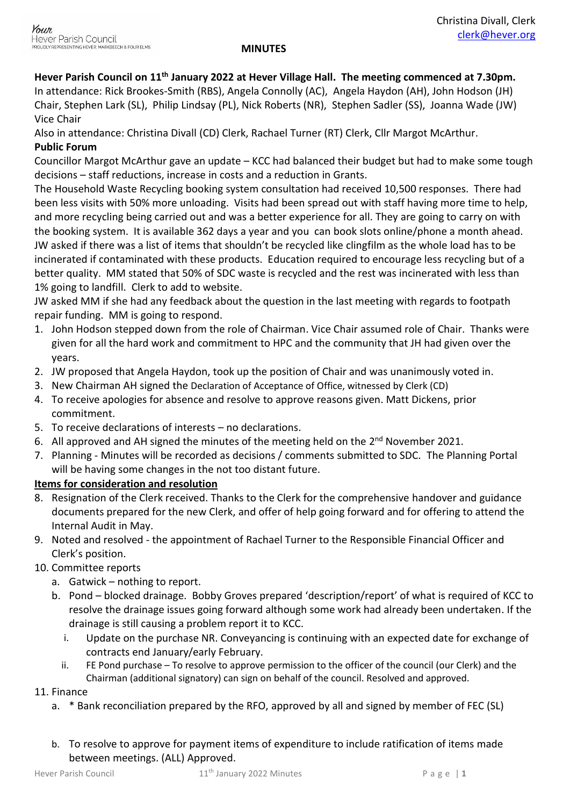# **Hever Parish Council on 11th January 2022 at Hever Village Hall. The meeting commenced at 7.30pm.**

In attendance: Rick Brookes-Smith (RBS), Angela Connolly (AC), Angela Haydon (AH), John Hodson (JH) Chair, Stephen Lark (SL), Philip Lindsay (PL), Nick Roberts (NR), Stephen Sadler (SS), Joanna Wade (JW) Vice Chair

Also in attendance: Christina Divall (CD) Clerk, Rachael Turner (RT) Clerk, Cllr Margot McArthur.

## **Public Forum**

Councillor Margot McArthur gave an update – KCC had balanced their budget but had to make some tough decisions – staff reductions, increase in costs and a reduction in Grants.

The Household Waste Recycling booking system consultation had received 10,500 responses. There had been less visits with 50% more unloading. Visits had been spread out with staff having more time to help, and more recycling being carried out and was a better experience for all. They are going to carry on with the booking system. It is available 362 days a year and you can book slots online/phone a month ahead. JW asked if there was a list of items that shouldn't be recycled like clingfilm as the whole load has to be incinerated if contaminated with these products. Education required to encourage less recycling but of a better quality. MM stated that 50% of SDC waste is recycled and the rest was incinerated with less than 1% going to landfill. Clerk to add to website.

JW asked MM if she had any feedback about the question in the last meeting with regards to footpath repair funding. MM is going to respond.

- 1. John Hodson stepped down from the role of Chairman. Vice Chair assumed role of Chair. Thanks were given for all the hard work and commitment to HPC and the community that JH had given over the years.
- 2. JW proposed that Angela Haydon, took up the position of Chair and was unanimously voted in.
- 3. New Chairman AH signed the Declaration of Acceptance of Office, witnessed by Clerk (CD)
- 4. To receive apologies for absence and resolve to approve reasons given. Matt Dickens, prior commitment.
- 5. To receive declarations of interests no declarations.
- 6. All approved and AH signed the minutes of the meeting held on the  $2^{nd}$  November 2021.
- 7. Planning Minutes will be recorded as decisions / comments submitted to SDC. The Planning Portal will be having some changes in the not too distant future.

## **Items for consideration and resolution**

- 8. Resignation of the Clerk received. Thanks to the Clerk for the comprehensive handover and guidance documents prepared for the new Clerk, and offer of help going forward and for offering to attend the Internal Audit in May.
- 9. Noted and resolved the appointment of Rachael Turner to the Responsible Financial Officer and Clerk's position.
- 10. Committee reports
	- a. Gatwick nothing to report.
	- b. Pond blocked drainage. Bobby Groves prepared 'description/report' of what is required of KCC to resolve the drainage issues going forward although some work had already been undertaken. If the drainage is still causing a problem report it to KCC.
		- i. Update on the purchase NR. Conveyancing is continuing with an expected date for exchange of contracts end January/early February.
		- ii. FE Pond purchase To resolve to approve permission to the officer of the council (our Clerk) and the Chairman (additional signatory) can sign on behalf of the council. Resolved and approved.

## 11. Finance

- a. \* Bank reconciliation prepared by the RFO, approved by all and signed by member of FEC (SL)
- b. To resolve to approve for payment items of expenditure to include ratification of items made between meetings. (ALL) Approved.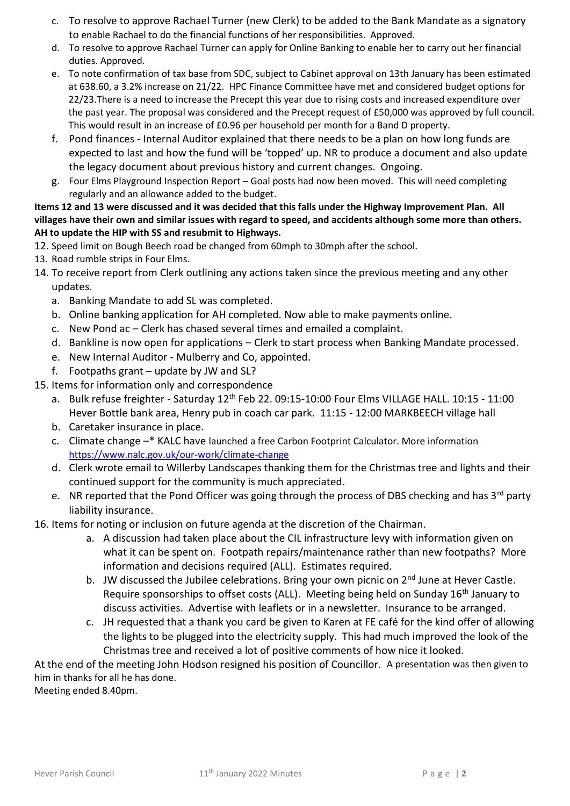- c. To resolve to approve Rachael Turner (new Clerk) to be added to the Bank Mandate as a signatory to enable Rachael to do the financial functions of her responsibilities. Approved.
- d. To resolve to approve Rachael Turner can apply for Online Banking to enable her to carry out her financial duties. Approved.
- e. To note confirmation of tax base from SDC, subject to Cabinet approval on 13th January has been estimated at 638.60, a 3.2% increase on 21/22. HPC Finance Committee have met and considered budget options for 22/23.There is a need to increase the Precept this year due to rising costs and increased expenditure over the past year. The proposal was considered and the Precept request of £50,000 was approved by full council. This would result in an increase of £0.96 per household per month for a Band D property.
- f. Pond finances Internal Auditor explained that there needs to be a plan on how long funds are expected to last and how the fund will be 'topped' up. NR to produce a document and also update the legacy document about previous history and current changes. Ongoing.
- g. Four Elms Playground Inspection Report Goal posts had now been moved. This will need completing regularly and an allowance added to the budget.

### **Items 12 and 13 were discussed and it was decided that this falls under the Highway Improvement Plan. All villages have their own and similar issues with regard to speed, and accidents although some more than others. AH to update the HIP with SS and resubmit to Highways.**

- 12. Speed limit on Bough Beech road be changed from 60mph to 30mph after the school.
- 13. Road rumble strips in Four Elms.
- 14. To receive report from Clerk outlining any actions taken since the previous meeting and any other updates.
	- a. Banking Mandate to add SL was completed.
	- b. Online banking application for AH completed. Now able to make payments online.
	- c. New Pond ac Clerk has chased several times and emailed a complaint.
	- d. Bankline is now open for applications Clerk to start process when Banking Mandate processed.
	- e. New Internal Auditor Mulberry and Co, appointed.
	- f. Footpaths grant update by JW and SL?
- 15. Items for information only and correspondence
	- a. Bulk refuse freighter Saturday 12<sup>th</sup> Feb 22. 09:15-10:00 Four Elms VILLAGE HALL. 10:15 11:00 Hever Bottle bank area, Henry pub in coach car park. 11:15 - 12:00 MARKBEECH village hall
	- b. Caretaker insurance in place.
	- c. Climate change –\* KALC have launched a free Carbon Footprint Calculator. More information <https://www.nalc.gov.uk/our-work/climate-change>
	- d. Clerk wrote email to Willerby Landscapes thanking them for the Christmas tree and lights and their continued support for the community is much appreciated.
	- e. NR reported that the Pond Officer was going through the process of DBS checking and has 3<sup>rd</sup> party liability insurance.
- 16. Items for noting or inclusion on future agenda at the discretion of the Chairman.
	- a. A discussion had taken place about the CIL infrastructure levy with information given on what it can be spent on. Footpath repairs/maintenance rather than new footpaths? More information and decisions required (ALL). Estimates required.
	- b. JW discussed the Jubilee celebrations. Bring your own picnic on  $2<sup>nd</sup>$  June at Hever Castle. Require sponsorships to offset costs (ALL). Meeting being held on Sunday 16<sup>th</sup> January to discuss activities. Advertise with leaflets or in a newsletter. Insurance to be arranged.
	- c. JH requested that a thank you card be given to Karen at FE café for the kind offer of allowing the lights to be plugged into the electricity supply. This had much improved the look of the Christmas tree and received a lot of positive comments of how nice it looked.

At the end of the meeting John Hodson resigned his position of Councillor. A presentation was then given to him in thanks for all he has done.

Meeting ended 8.40pm.